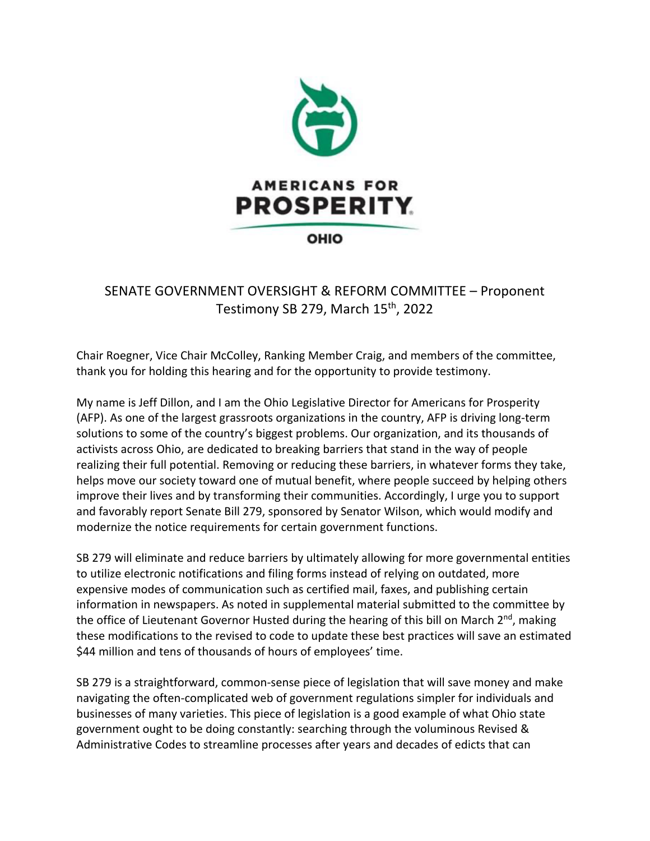

## SENATE GOVERNMENT OVERSIGHT & REFORM COMMITTEE – Proponent Testimony SB 279, March 15th, 2022

Chair Roegner, Vice Chair McColley, Ranking Member Craig, and members of the committee, thank you for holding this hearing and for the opportunity to provide testimony.

My name is Jeff Dillon, and I am the Ohio Legislative Director for Americans for Prosperity (AFP). As one of the largest grassroots organizations in the country, AFP is driving long-term solutions to some of the country's biggest problems. Our organization, and its thousands of activists across Ohio, are dedicated to breaking barriers that stand in the way of people realizing their full potential. Removing or reducing these barriers, in whatever forms they take, helps move our society toward one of mutual benefit, where people succeed by helping others improve their lives and by transforming their communities. Accordingly, I urge you to support and favorably report Senate Bill 279, sponsored by Senator Wilson, which would modify and modernize the notice requirements for certain government functions.

SB 279 will eliminate and reduce barriers by ultimately allowing for more governmental entities to utilize electronic notifications and filing forms instead of relying on outdated, more expensive modes of communication such as certified mail, faxes, and publishing certain information in newspapers. As noted in supplemental material submitted to the committee by the office of Lieutenant Governor Husted during the hearing of this bill on March 2<sup>nd</sup>, making these modifications to the revised to code to update these best practices will save an estimated \$44 million and tens of thousands of hours of employees' time.

SB 279 is a straightforward, common-sense piece of legislation that will save money and make navigating the often-complicated web of government regulations simpler for individuals and businesses of many varieties. This piece of legislation is a good example of what Ohio state government ought to be doing constantly: searching through the voluminous Revised & Administrative Codes to streamline processes after years and decades of edicts that can